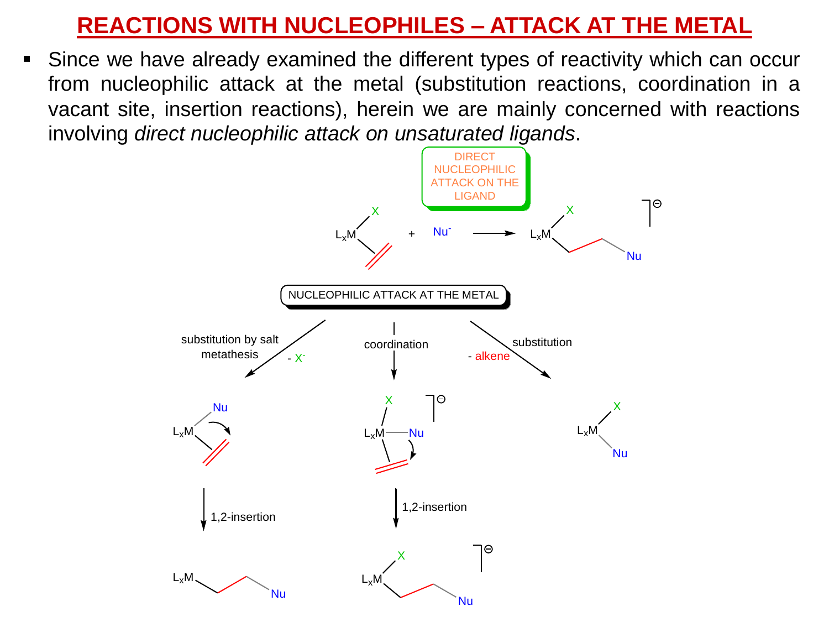## **REACTIONS WITH NUCLEOPHILES – ATTACK AT THE METAL**

Since we have already examined the different types of reactivity which can occur from nucleophilic attack at the metal (substitution reactions, coordination in a vacant site, insertion reactions), herein we are mainly concerned with reactions involving *direct nucleophilic attack on unsaturated ligands*.

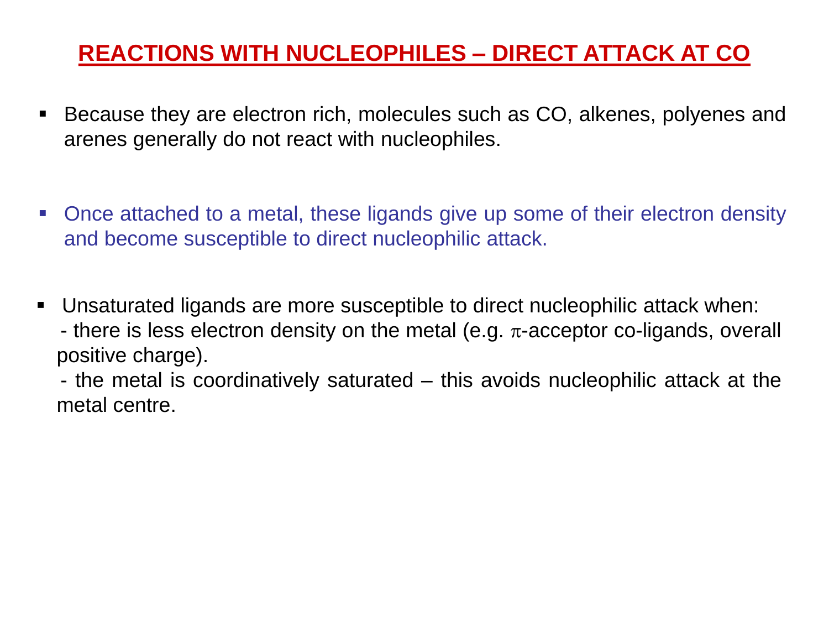# **REACTIONS WITH NUCLEOPHILES – DIRECT ATTACK AT CO**

- Because they are electron rich, molecules such as CO, alkenes, polyenes and arenes generally do not react with nucleophiles.
- Once attached to a metal, these ligands give up some of their electron density and become susceptible to direct nucleophilic attack.
- Unsaturated ligands are more susceptible to direct nucleophilic attack when: - there is less electron density on the metal (e.g.  $\pi$ -acceptor co-ligands, overall positive charge).

- the metal is coordinatively saturated – this avoids nucleophilic attack at the metal centre.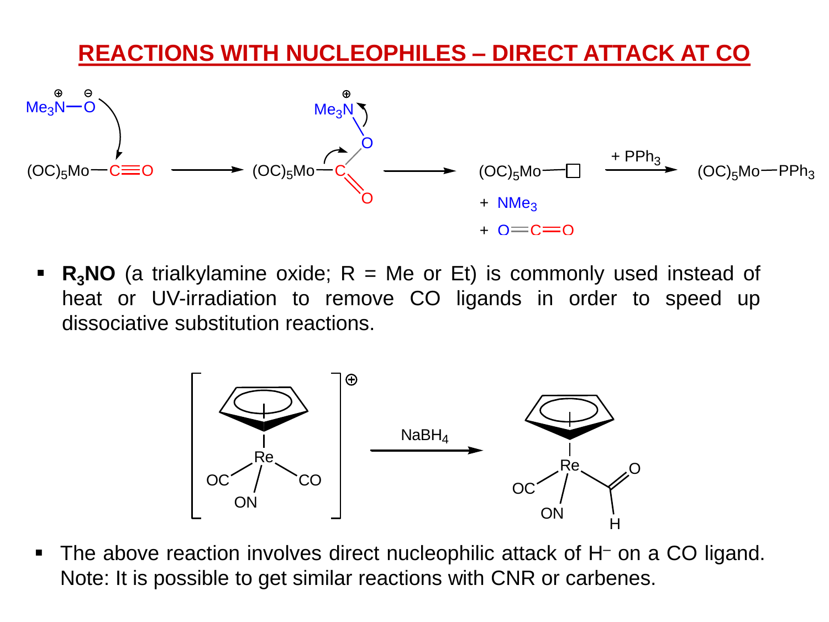

**R<sub>3</sub>NO** (a trialkylamine oxide;  $R = Me$  or Et) is commonly used instead of heat or UV-irradiation to remove CO ligands in order to speed up dissociative substitution reactions.



**•** The above reaction involves direct nucleophilic attack of  $H<sup>-</sup>$  on a CO ligand. Note: It is possible to get similar reactions with CNR or carbenes.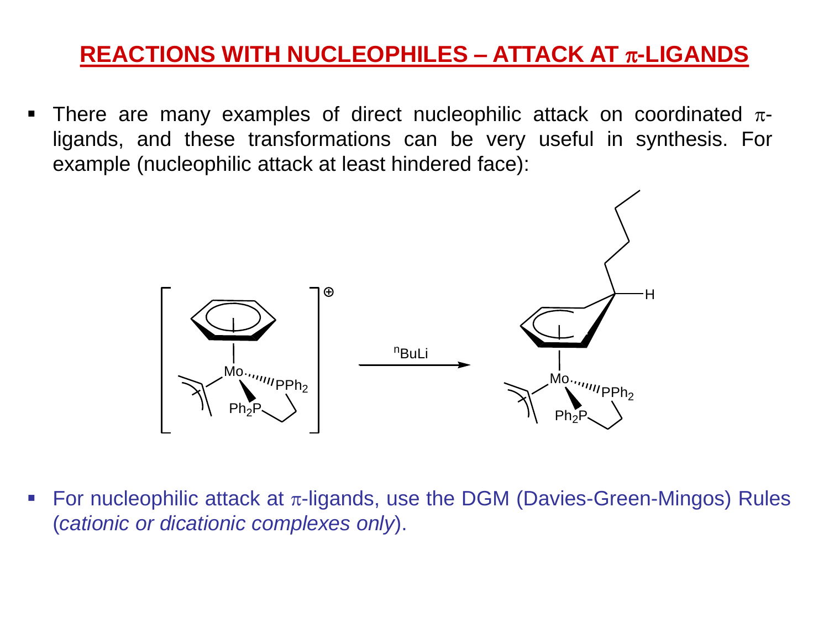## **REACTIONS WITH NUCLEOPHILES – ATTACK AT** p**-LIGANDS**

**•** There are many examples of direct nucleophilic attack on coordinated  $\pi$ ligands, and these transformations can be very useful in synthesis. For example (nucleophilic attack at least hindered face):



**•** For nucleophilic attack at  $\pi$ -ligands, use the DGM (Davies-Green-Mingos) Rules (*cationic or dicationic complexes only*).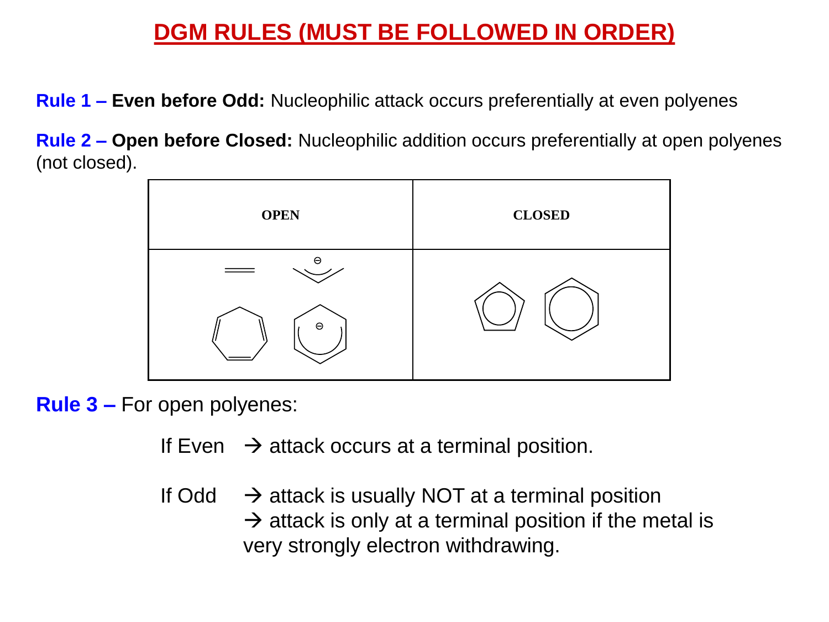#### **DGM RULES (MUST BE FOLLOWED IN ORDER)**

**Rule 1 – Even before Odd:** Nucleophilic attack occurs preferentially at even polyenes

**Rule 2 – Open before Closed:** Nucleophilic addition occurs preferentially at open polyenes (not closed).



**Rule 3 –** For open polyenes:

- If Even  $\rightarrow$  attack occurs at a terminal position.
- If Odd  $\rightarrow$  attack is usually NOT at a terminal position  $\rightarrow$  attack is only at a terminal position if the metal is very strongly electron withdrawing.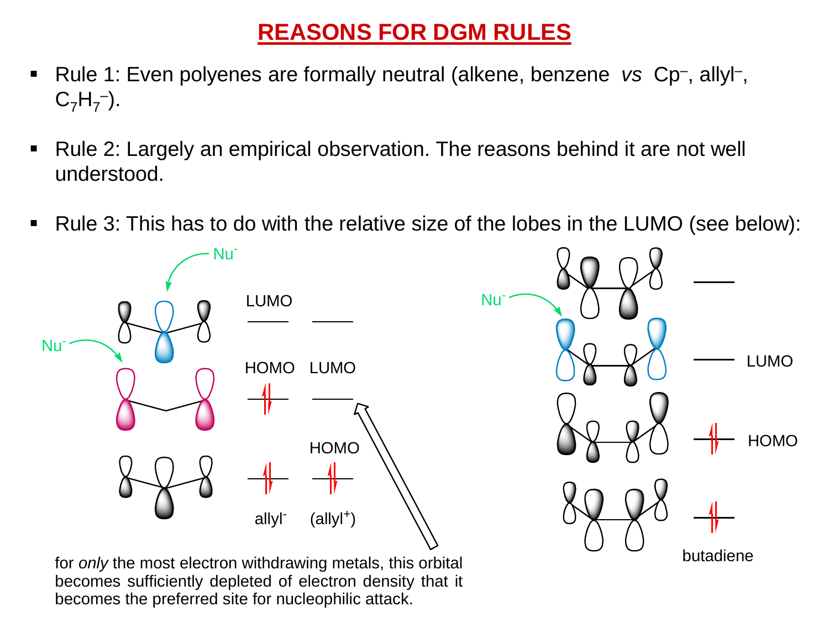# **REASONS FOR DGM RULES**

- Rule 1: Even polyenes are formally neutral (alkene, benzene *vs Cp*-, allyl-,  $C_7H_7^-$ ).
- Rule 2: Largely an empirical observation. The reasons behind it are not well understood.
- Rule 3: This has to do with the relative size of the lobes in the LUMO (see below):



becomes sufficiently depleted of electron density that it becomes the preferred site for nucleophilic attack.